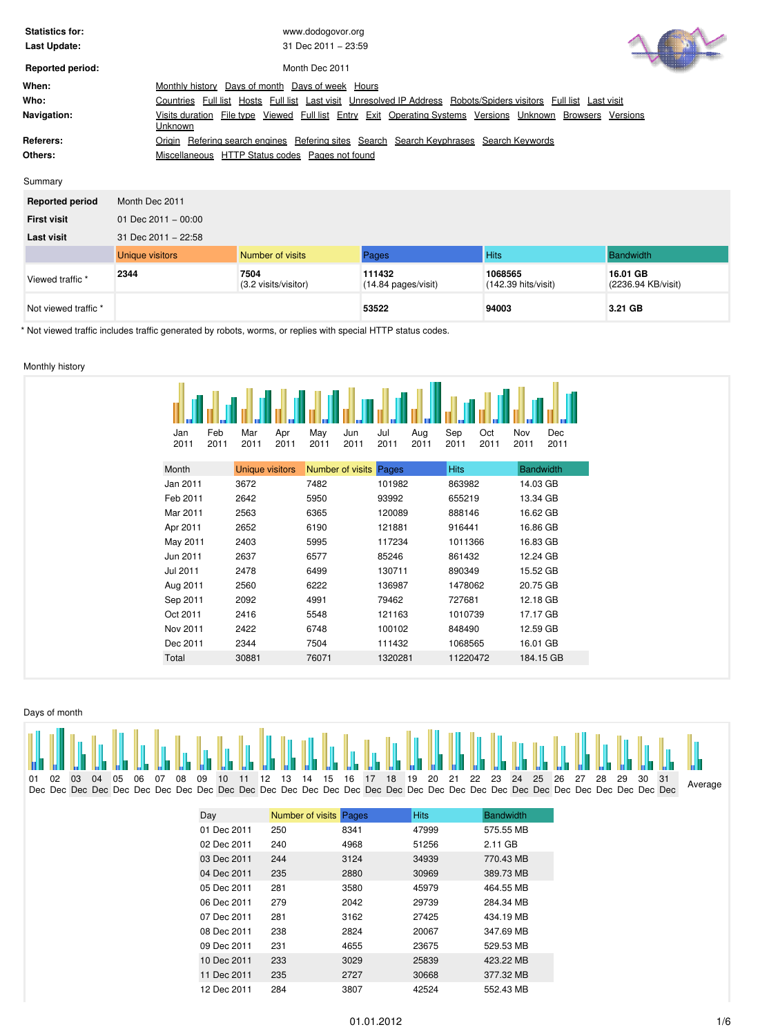| <b>Statistics for:</b>  | www.dodogovor.org                                                                                                        |
|-------------------------|--------------------------------------------------------------------------------------------------------------------------|
| Last Update:            | 31 Dec $2011 - 23:59$                                                                                                    |
| <b>Reported period:</b> | VU I<br>Month Dec 2011                                                                                                   |
| When:                   | Days of month<br>Days of week Hours<br>Monthly history                                                                   |
| Who:                    | Full list Last visit Unresolved IP Address Robots/Spiders visitors Full list Last visit<br>Countries Full list Hosts     |
| Navigation:             | Visits duration File type Viewed Full list Entry Exit Operating Systems Versions Unknown<br>Browsers Versions<br>Unknown |
| Referers:               | Origin Refering search engines Refering sites Search Search Keyphrases Search Keywords                                   |
| Others:                 | Miscellaneous HTTP Status codes Pages not found                                                                          |
|                         |                                                                                                                          |

#### Summary

| <b>Reported period</b> | Month Dec 2011         |                              |                                         |                                |                                |
|------------------------|------------------------|------------------------------|-----------------------------------------|--------------------------------|--------------------------------|
| <b>First visit</b>     | 01 Dec $2011 - 00:00$  |                              |                                         |                                |                                |
| <b>Last visit</b>      | 31 Dec 2011 - 22:58    |                              |                                         |                                |                                |
|                        | <b>Unique visitors</b> | Number of visits             | Pages                                   | <b>Hits</b>                    | Bandwidth                      |
| Viewed traffic *       | 2344                   | 7504<br>(3.2 visits/visitor) | 111432<br>$(14.84 \text{ pages/visit})$ | 1068565<br>(142.39 hits/visit) | 16.01 GB<br>(2236.94 KB/visit) |
| Not viewed traffic *   |                        |                              | 53522                                   | 94003                          | 3.21 GB                        |

\* Not viewed traffic includes traffic generated by robots, worms, or replies with special HTTP status codes.

# <span id="page-0-0"></span>Monthly history

| Feb<br>Jan<br>2011<br>2011 | Mar<br>2011            | Apr<br>2011 | May<br>2011 | Jun<br>2011            | Jul<br>2011 | Aug<br>2011 | Sep<br>2011 | Oct<br>2011 | Nov<br>2011      | Dec<br>2011 |
|----------------------------|------------------------|-------------|-------------|------------------------|-------------|-------------|-------------|-------------|------------------|-------------|
| Month                      | <b>Unique visitors</b> |             |             | Number of visits Pages |             |             | <b>Hits</b> |             | <b>Bandwidth</b> |             |
| Jan 2011                   | 3672                   |             | 7482        |                        | 101982      |             | 863982      |             | 14.03 GB         |             |
| Feb 2011                   | 2642                   |             | 5950        |                        | 93992       |             | 655219      |             | 13.34 GB         |             |
| Mar 2011                   | 2563                   |             | 6365        |                        | 120089      |             | 888146      |             | 16.62 GB         |             |
| Apr 2011                   | 2652                   |             | 6190        |                        | 121881      |             | 916441      |             | 16.86 GB         |             |
| May 2011                   | 2403                   |             | 5995        |                        | 117234      |             | 1011366     |             | 16.83 GB         |             |
| Jun 2011                   | 2637                   |             | 6577        |                        | 85246       |             | 861432      |             | 12.24 GB         |             |
| Jul 2011                   | 2478                   |             | 6499        |                        | 130711      |             | 890349      |             | 15.52 GB         |             |
| Aug 2011                   | 2560                   |             | 6222        |                        | 136987      |             | 1478062     |             | 20.75 GB         |             |
| Sep 2011                   | 2092                   |             | 4991        |                        | 79462       |             | 727681      |             | 12.18 GB         |             |
| Oct 2011                   | 2416                   |             | 5548        |                        | 121163      |             | 1010739     |             | 17.17 GB         |             |
| Nov 2011                   | 2422                   |             | 6748        |                        | 100102      |             | 848490      |             | 12.59 GB         |             |
| Dec 2011                   | 2344                   |             | 7504        |                        | 111432      |             | 1068565     |             | 16.01 GB         |             |
| Total                      | 30881                  |             | 76071       |                        | 1320281     |             | 11220472    |             | 184.15 GB        |             |
|                            |                        |             |             |                        |             |             |             |             |                  |             |

<span id="page-0-1"></span>

|    |    |     |    |    |    |      |      |     |                 |       |                        |  |  |             |                                                                    |  |           |  |  |  |  | THA BH DA DA BA DA DA DA DA DA DA BA DA BA DA DA DA DA DA DA BA BA BA BA DA DA DA DA DA BA BA DA DA DA DA TUA |
|----|----|-----|----|----|----|------|------|-----|-----------------|-------|------------------------|--|--|-------------|--------------------------------------------------------------------|--|-----------|--|--|--|--|---------------------------------------------------------------------------------------------------------------|
| 01 | በ2 | 03. | 04 | 05 | 06 | - 07 | - 08 | 09  | 10 <sup>1</sup> | 11 12 | 13                     |  |  |             | 14  15  16  17  18  19  20  21  22  23  24  25  26  27  28  29  30 |  |           |  |  |  |  |                                                                                                               |
|    |    |     |    |    |    |      |      |     |                 |       |                        |  |  |             |                                                                    |  |           |  |  |  |  | Average                                                                                                       |
|    |    |     |    |    |    |      |      |     |                 |       |                        |  |  |             |                                                                    |  |           |  |  |  |  |                                                                                                               |
|    |    |     |    |    |    |      |      | Dav |                 |       | Number of visits Pages |  |  | <b>Hits</b> |                                                                    |  | Bandwidth |  |  |  |  |                                                                                                               |

| Day         | Number of visits | Pages | <b>Hits</b> | <b>Bandwidth</b> |
|-------------|------------------|-------|-------------|------------------|
| 01 Dec 2011 | 250              | 8341  | 47999       | 575.55 MB        |
| 02 Dec 2011 | 240              | 4968  | 51256       | 2.11 GB          |
| 03 Dec 2011 | 244              | 3124  | 34939       | 770.43 MB        |
| 04 Dec 2011 | 235              | 2880  | 30969       | 389.73 MB        |
| 05 Dec 2011 | 281              | 3580  | 45979       | 464.55 MB        |
| 06 Dec 2011 | 279              | 2042  | 29739       | 284.34 MB        |
| 07 Dec 2011 | 281              | 3162  | 27425       | 434.19 MB        |
| 08 Dec 2011 | 238              | 2824  | 20067       | 347.69 MB        |
| 09 Dec 2011 | 231              | 4655  | 23675       | 529.53 MB        |
| 10 Dec 2011 | 233              | 3029  | 25839       | 423.22 MB        |
| 11 Dec 2011 | 235              | 2727  | 30668       | 377.32 MB        |
| 12 Dec 2011 | 284              | 3807  | 42524       | 552.43 MB        |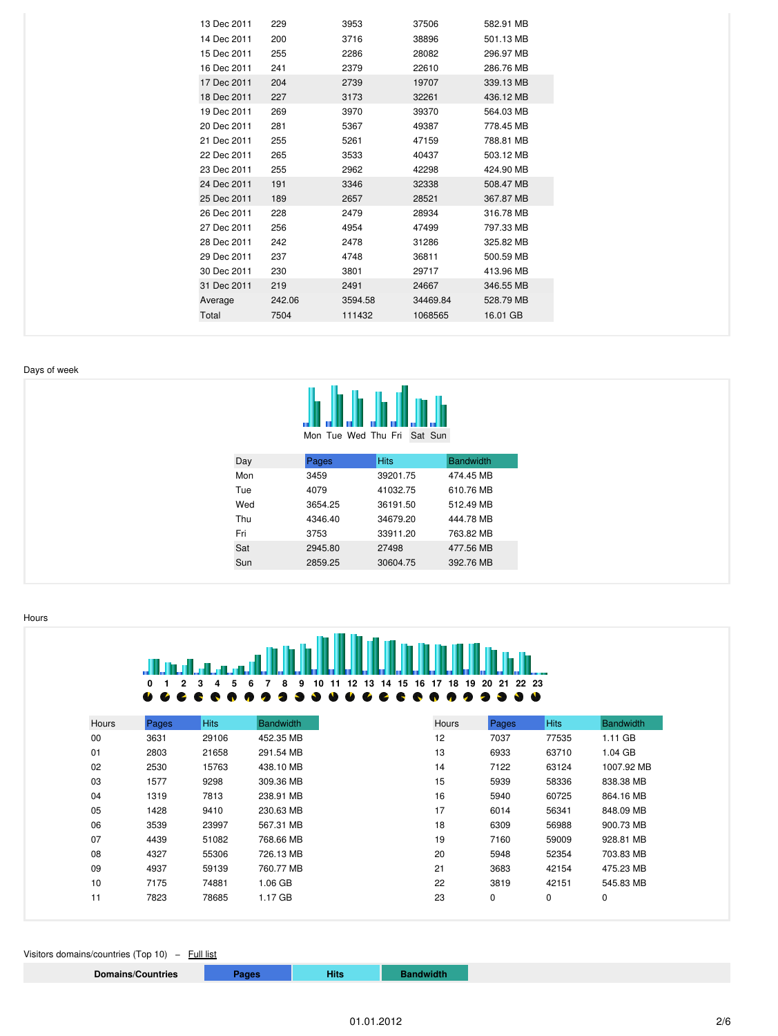| 13 Dec 2011 | 229    | 3953    | 37506    | 582.91 MB |
|-------------|--------|---------|----------|-----------|
| 14 Dec 2011 | 200    | 3716    | 38896    | 501.13 MB |
| 15 Dec 2011 | 255    | 2286    | 28082    | 296.97 MB |
| 16 Dec 2011 | 241    | 2379    | 22610    | 286.76 MB |
| 17 Dec 2011 | 204    | 2739    | 19707    | 339.13 MB |
| 18 Dec 2011 | 227    | 3173    | 32261    | 436.12 MB |
| 19 Dec 2011 | 269    | 3970    | 39370    | 564.03 MB |
| 20 Dec 2011 | 281    | 5367    | 49387    | 778.45 MB |
| 21 Dec 2011 | 255    | 5261    | 47159    | 788.81 MB |
| 22 Dec 2011 | 265    | 3533    | 40437    | 503.12 MB |
| 23 Dec 2011 | 255    | 2962    | 42298    | 424.90 MB |
| 24 Dec 2011 | 191    | 3346    | 32338    | 508.47 MB |
| 25 Dec 2011 | 189    | 2657    | 28521    | 367.87 MB |
| 26 Dec 2011 | 228    | 2479    | 28934    | 316.78 MB |
| 27 Dec 2011 | 256    | 4954    | 47499    | 797.33 MB |
| 28 Dec 2011 | 242    | 2478    | 31286    | 325.82 MB |
| 29 Dec 2011 | 237    | 4748    | 36811    | 500.59 MB |
| 30 Dec 2011 | 230    | 3801    | 29717    | 413.96 MB |
| 31 Dec 2011 | 219    | 2491    | 24667    | 346.55 MB |
| Average     | 242.06 | 3594.58 | 34469.84 | 528.79 MB |
| Total       | 7504   | 111432  | 1068565  | 16.01 GB  |
|             |        |         |          |           |

#### <span id="page-1-0"></span>Days of week



|  | Mon lue wed inu Fri Sat Sun |  |  |
|--|-----------------------------|--|--|
|  |                             |  |  |

| Day | Pages   | <b>Hits</b> | <b>Bandwidth</b> |
|-----|---------|-------------|------------------|
| Mon | 3459    | 39201.75    | 474.45 MB        |
| Tue | 4079    | 41032.75    | 610.76 MB        |
| Wed | 3654.25 | 36191.50    | 512.49 MB        |
| Thu | 4346.40 | 34679.20    | 444.78 MB        |
| Fri | 3753    | 33911.20    | 763.82 MB        |
| Sat | 2945.80 | 27498       | 477.56 MB        |
| Sun | 2859.25 | 30604.75    | 392.76 MB        |
|     |         |             |                  |

<span id="page-1-1"></span>Hours



<span id="page-1-2"></span>Visitors domains/countries (Top 10) - Full list

**Domains/Countries Pages Hits Bandwidth**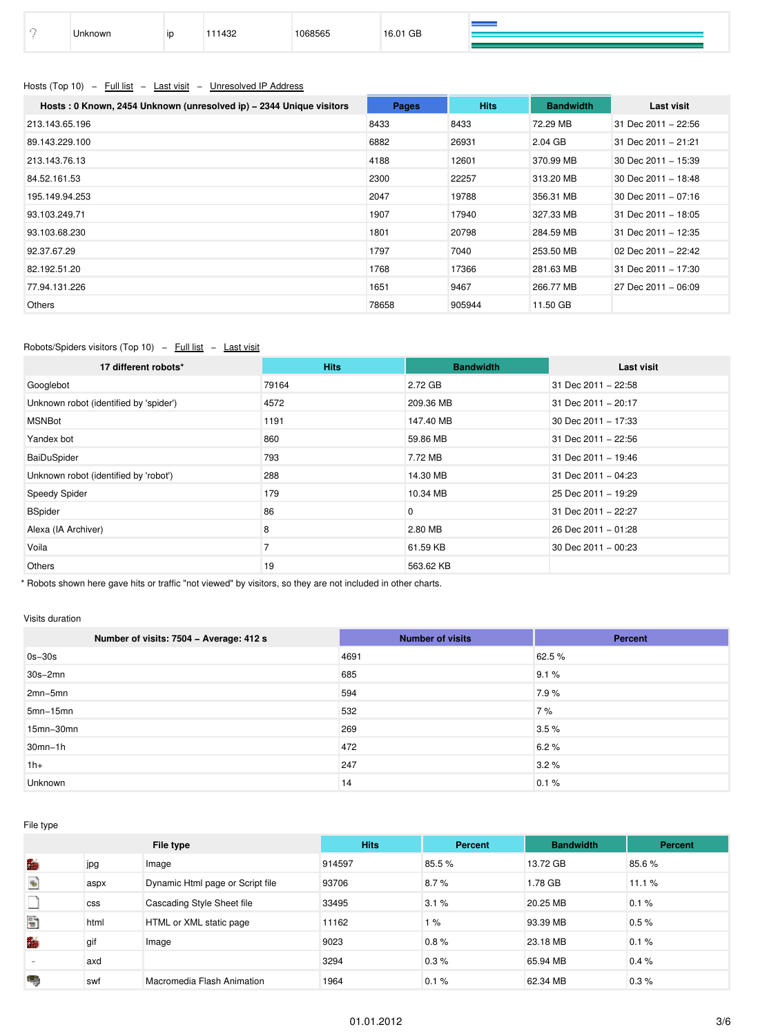|  | Unknown | ID | 0.001<br>ےن+ | 068565 | 16.01 GB |  |
|--|---------|----|--------------|--------|----------|--|
|--|---------|----|--------------|--------|----------|--|

# <span id="page-2-0"></span>Hosts (Top 10) – Full list – Last visit – Unresolved IP Address

| Hosts: 0 Known, 2454 Unknown (unresolved ip) - 2344 Unique visitors | Pages | <b>Hits</b> | <b>Bandwidth</b> | Last visit          |
|---------------------------------------------------------------------|-------|-------------|------------------|---------------------|
| 213.143.65.196                                                      | 8433  | 8433        | 72.29 MB         | 31 Dec 2011 - 22:56 |
| 89.143.229.100                                                      | 6882  | 26931       | $2.04$ GB        | 31 Dec 2011 - 21:21 |
| 213.143.76.13                                                       | 4188  | 12601       | 370.99 MB        | 30 Dec 2011 - 15:39 |
| 84.52.161.53                                                        | 2300  | 22257       | 313.20 MB        | 30 Dec 2011 - 18:48 |
| 195.149.94.253                                                      | 2047  | 19788       | 356.31 MB        | 30 Dec 2011 - 07:16 |
| 93.103.249.71                                                       | 1907  | 17940       | 327.33 MB        | 31 Dec 2011 - 18:05 |
| 93.103.68.230                                                       | 1801  | 20798       | 284.59 MB        | 31 Dec 2011 - 12:35 |
| 92.37.67.29                                                         | 1797  | 7040        | 253.50 MB        | 02 Dec 2011 - 22:42 |
| 82.192.51.20                                                        | 1768  | 17366       | 281.63 MB        | 31 Dec 2011 - 17:30 |
| 77.94.131.226                                                       | 1651  | 9467        | 266.77 MB        | 27 Dec 2011 - 06:09 |
| Others                                                              | 78658 | 905944      | 11.50 GB         |                     |

### <span id="page-2-1"></span>Robots/Spiders visitors (Top 10) – Full list – Last visit

| 17 different robots*                   | <b>Hits</b> | <b>Bandwidth</b> | Last visit          |
|----------------------------------------|-------------|------------------|---------------------|
| Googlebot                              | 79164       | 2.72 GB          | 31 Dec 2011 - 22:58 |
| Unknown robot (identified by 'spider') | 4572        | 209.36 MB        | 31 Dec 2011 - 20:17 |
| <b>MSNBot</b>                          | 1191        | 147.40 MB        | 30 Dec 2011 - 17:33 |
| Yandex bot                             | 860         | 59.86 MB         | 31 Dec 2011 - 22:56 |
| BaiDuSpider                            | 793         | 7.72 MB          | 31 Dec 2011 - 19:46 |
| Unknown robot (identified by 'robot')  | 288         | 14.30 MB         | 31 Dec 2011 - 04:23 |
| Speedy Spider                          | 179         | 10.34 MB         | 25 Dec 2011 - 19:29 |
| <b>BSpider</b>                         | 86          | 0                | 31 Dec 2011 - 22:27 |
| Alexa (IA Archiver)                    | 8           | 2.80 MB          | 26 Dec 2011 - 01:28 |
| Voila                                  |             | 61.59 KB         | 30 Dec 2011 - 00:23 |
| <b>Others</b>                          | 19          | 563.62 KB        |                     |

\* Robots shown here gave hits or traffic "not viewed" by visitors, so they are not included in other charts.

#### <span id="page-2-2"></span>Visits duration

| Number of visits: 7504 - Average: 412 s | <b>Number of visits</b> | Percent |
|-----------------------------------------|-------------------------|---------|
| $0s-30s$                                | 4691                    | 62.5 %  |
| $30s - 2mn$                             | 685                     | 9.1%    |
| $2mn-5mn$                               | 594                     | 7.9%    |
| $5mn-15mn$                              | 532                     | 7%      |
| 15mn-30mn                               | 269                     | 3.5%    |
| $30mn-1h$                               | 472                     | 6.2%    |
| $1h+$                                   | 247                     | 3.2%    |
| Unknown                                 | 14                      | 0.1%    |

<span id="page-2-3"></span>File type

|                                                                  |            | File type                        | <b>Hits</b> | Percent | <b>Bandwidth</b> | Percent |
|------------------------------------------------------------------|------------|----------------------------------|-------------|---------|------------------|---------|
| f.                                                               | jpg        | Image                            | 914597      | 85.5%   | 13.72 GB         | 85.6%   |
| $\begin{matrix} \Phi_{\rm{eff}} \\ \Phi_{\rm{eff}} \end{matrix}$ | aspx       | Dynamic Html page or Script file | 93706       | 8.7%    | 1.78 GB          | 11.1%   |
|                                                                  | <b>CSS</b> | Cascading Style Sheet file       | 33495       | 3.1%    | 20.25 MB         | 0.1%    |
| Đ                                                                | html       | HTML or XML static page          | 11162       | 1%      | 93.39 MB         | 0.5%    |
| 騟                                                                | gif        | Image                            | 9023        | 0.8%    | 23.18 MB         | 0.1%    |
|                                                                  | axd        |                                  | 3294        | 0.3%    | 65.94 MB         | 0.4%    |
| ۳                                                                | swf        | Macromedia Flash Animation       | 1964        | 0.1%    | 62.34 MB         | 0.3%    |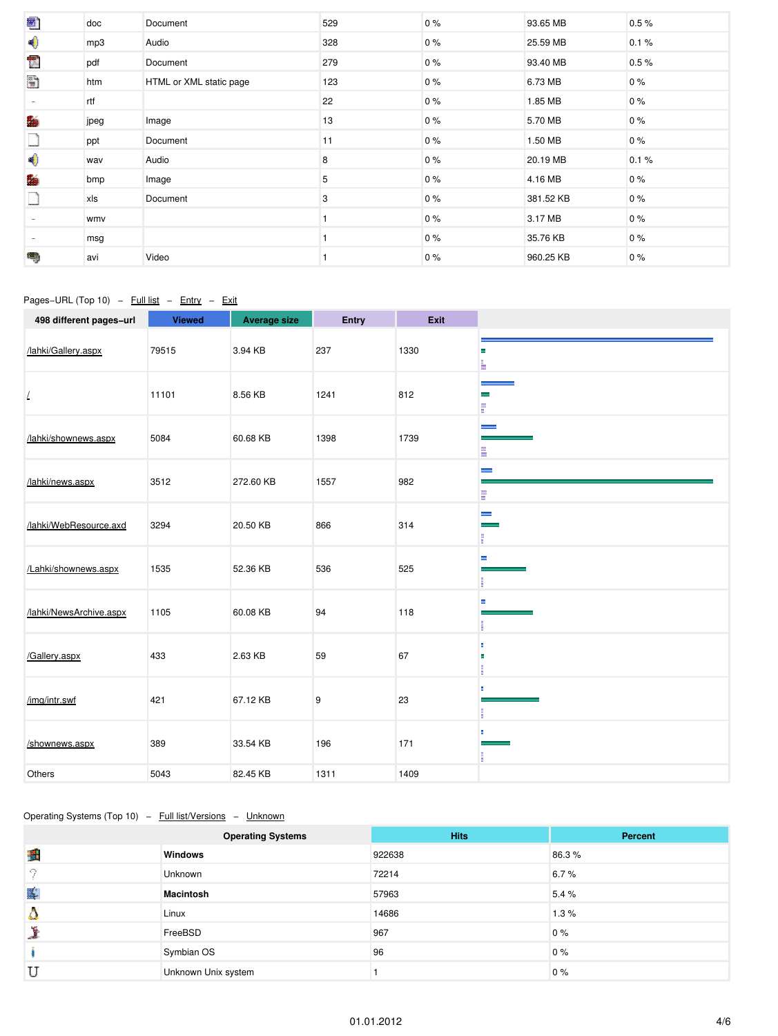| 圈)                       | doc  | Document                | 529 | $0\%$ | 93.65 MB  | 0.5%  |
|--------------------------|------|-------------------------|-----|-------|-----------|-------|
| $\blacklozenge$          | mp3  | Audio                   | 328 | $0\%$ | 25.59 MB  | 0.1%  |
| T                        | pdf  | Document                | 279 | $0\%$ | 93.40 MB  | 0.5%  |
| H                        | htm  | HTML or XML static page | 123 | $0\%$ | 6.73 MB   | $0\%$ |
| $\sim$                   | rtf  |                         | 22  | $0\%$ | 1.85 MB   | 0%    |
| f.                       | jpeg | Image                   | 13  | $0\%$ | 5.70 MB   | 0%    |
| L                        | ppt  | Document                | 11  | $0\%$ | 1.50 MB   | 0%    |
| ♦                        | wav  | Audio                   | 8   | $0\%$ | 20.19 MB  | 0.1%  |
| 酶                        | bmp  | Image                   | 5   | $0\%$ | 4.16 MB   | 0%    |
|                          | xls  | Document                | 3   | $0\%$ | 381.52 KB | 0%    |
|                          | wmv  |                         |     | $0\%$ | 3.17 MB   | 0%    |
| $\overline{\phantom{a}}$ | msg  |                         |     | $0\%$ | 35.76 KB  | 0%    |
| ٩                        | avi  | Video                   |     | $0\%$ | 960.25 KB | 0%    |

# <span id="page-3-0"></span>Pages−URL (Top 10) – Full list – Entry – Exit

| 498 different pages-url | <b>Viewed</b> | <b>Average size</b> | Entry | Exit |                               |
|-------------------------|---------------|---------------------|-------|------|-------------------------------|
| /lahki/Gallery.aspx     | 79515         | 3.94 KB             | 237   | 1330 | н<br>L                        |
| L                       | 11101         | 8.56 KB             | 1241  | 812  | $\equiv$<br>E                 |
| /lahki/shownews.aspx    | 5084          | 60.68 KB            | 1398  | 1739 | $\overline{\phantom{a}}$<br>Ξ |
| /lahki/news.aspx        | 3512          | 272.60 KB           | 1557  | 982  | $\equiv$<br>E                 |
| /lahki/WebResource.axd  | 3294          | 20.50 KB            | 866   | 314  | $\equiv$<br>F                 |
| /Lahki/shownews.aspx    | 1535          | 52.36 KB            | 536   | 525  | Е<br>п                        |
| /lahki/NewsArchive.aspx | 1105          | 60.08 KB            | 94    | 118  | Е<br>H.                       |
| /Gallery.aspx           | 433           | 2.63 KB             | 59    | 67   | ш<br>E<br>п<br>H.             |
| /img/intr.swf           | 421           | 67.12 KB            | 9     | 23   | ш<br>E.                       |
| /shownews.aspx          | 389           | 33.54 KB            | 196   | 171  | п<br>E                        |
| Others                  | 5043          | 82.45 KB            | 1311  | 1409 |                               |

### <span id="page-3-1"></span>Operating Systems (Top 10) – Full list/Versions – Unknown

|              | <b>Operating Systems</b> | <b>Hits</b> | Percent |
|--------------|--------------------------|-------------|---------|
| 鼺            | <b>Windows</b>           | 922638      | 86.3%   |
| Ω            | <b>Unknown</b>           | 72214       | 6.7%    |
| $\mathbf{I}$ | Macintosh                | 57963       | 5.4%    |
| £.           | Linux                    | 14686       | 1.3%    |
|              | FreeBSD                  | 967         | 0%      |
|              | Symbian OS               | 96          | 0%      |
| U            | Unknown Unix system      |             | 0%      |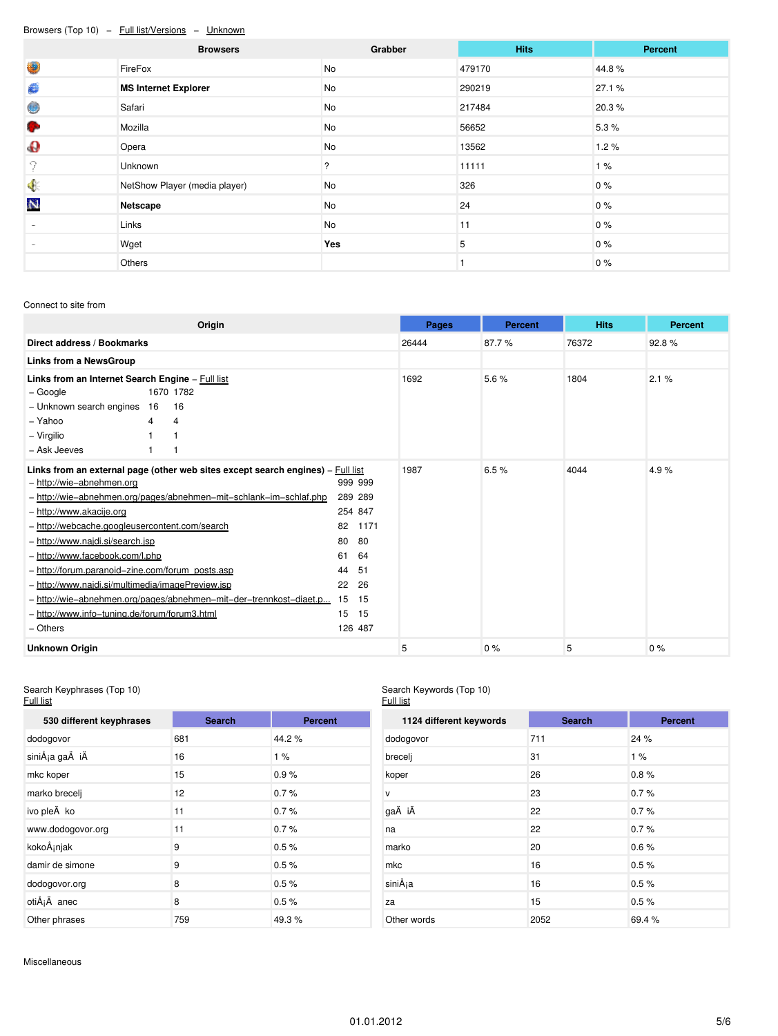### <span id="page-4-0"></span>Browsers (Top 10) − Full list/Versions − Unknown

|                       | <b>Browsers</b>               | Grabber | <b>Hits</b> | Percent |
|-----------------------|-------------------------------|---------|-------------|---------|
| O                     | FireFox                       | No      | 479170      | 44.8%   |
| €                     | <b>MS Internet Explorer</b>   | No      | 290219      | 27.1 %  |
| Ô                     | Safari                        | No      | 217484      | 20.3%   |
| G                     | Mozilla                       | No      | 56652       | 5.3%    |
| $\boldsymbol{\theta}$ | Opera                         | No      | 13562       | 1.2%    |
| 9                     | Unknown                       | ?       | 11111       | 1%      |
| $\blacklozenge$       | NetShow Player (media player) | No      | 326         | $0\%$   |
| N                     | Netscape                      | No      | 24          | $0\%$   |
|                       | Links                         | No      | 11          | 0%      |
|                       | Wget                          | Yes     | 5           | 0%      |
|                       | Others                        |         |             | 0%      |

#### <span id="page-4-1"></span>Connect to site from

| Origin                                                                                                                                                                                                                                                                                                                                                                                                                                                                                                                                                                                |                                                                                                                                | Pages | <b>Percent</b> | <b>Hits</b> | <b>Percent</b> |
|---------------------------------------------------------------------------------------------------------------------------------------------------------------------------------------------------------------------------------------------------------------------------------------------------------------------------------------------------------------------------------------------------------------------------------------------------------------------------------------------------------------------------------------------------------------------------------------|--------------------------------------------------------------------------------------------------------------------------------|-------|----------------|-------------|----------------|
| Direct address / Bookmarks                                                                                                                                                                                                                                                                                                                                                                                                                                                                                                                                                            | 26444                                                                                                                          | 87.7% | 76372          | 92.8%       |                |
| Links from a NewsGroup                                                                                                                                                                                                                                                                                                                                                                                                                                                                                                                                                                |                                                                                                                                |       |                |             |                |
| Links from an Internet Search Engine - Full list<br>1670 1782<br>– Google<br>- Unknown search engines 16<br>16<br>- Yahoo<br>$\overline{4}$<br>4<br>- Virgilio<br>- Ask Jeeves                                                                                                                                                                                                                                                                                                                                                                                                        |                                                                                                                                | 1692  | 5.6%           | 1804        | 2.1%           |
| Links from an external page (other web sites except search engines) $-$ Full list<br>- http://wie-abnehmen.org<br>- http://wie-abnehmen.org/pages/abnehmen-mit-schlank-im-schlaf.php<br>- http://www.akacije.org<br>- http://webcache.googleusercontent.com/search<br>- http://www.najdi.si/search.jsp<br>- http://www.facebook.com/l.php<br>- http://forum.paranoid-zine.com/forum_posts.asp<br>- http://www.najdi.si/multimedia/imagePreview.jsp<br>- http://wie-abnehmen.org/pages/abnehmen-mit-der-trennkost-diaet.p<br>- http://www.info-tuning.de/forum/forum3.html<br>- Others | 999 999<br>289 289<br>254 847<br>82<br>1171<br>80<br>80<br>61<br>64<br>44<br>51<br>22<br>26<br>15<br>15<br>15<br>15<br>126 487 | 1987  | 6.5%           | 4044        | 4.9%           |
| <b>Unknown Origin</b>                                                                                                                                                                                                                                                                                                                                                                                                                                                                                                                                                                 |                                                                                                                                | 5     | 0%             | 5           | $0\%$          |

#### <span id="page-4-2"></span>Search Keyphrases (Top 10) Full list

# **530 different keyphrases Search Percent** dodogovor 681 44.2 % siniÅ<sub>j</sub>a gaÄ iÄ 16 1 % mkc koper 15 0.9 % marko brecelj 12 0.7 % ivo pleÄko 11 0.7 % www.dodogovor.org 11 0.7 % kokoÅ<sub>i</sub>njak 9 0.5 % damir de simone 9 0.5 % dodogovor.org 8 0.5 % otiÅ<sub>i</sub>Ä anec 8 0.5 % Other phrases 759 49.3 %

#### Search Keywords (Top 10) Full list

| 1124 different keywords | <b>Search</b> | <b>Percent</b> |
|-------------------------|---------------|----------------|
| dodogovor               | 711           | 24 %           |
| brecelj                 | 31            | 1%             |
| koper                   | 26            | 0.8%           |
| $\mathsf{v}$            | 23            | 0.7%           |
| gaÄ iÄ                  | 22            | 0.7%           |
| na                      | 22            | 0.7%           |
| marko                   | 20            | 0.6%           |
| mkc                     | 16            | 0.5%           |
| siniÅja                 | 16            | 0.5%           |
| za                      | 15            | 0.5%           |
| Other words             | 2052          | 69.4%          |

<span id="page-4-3"></span>Miscellaneous